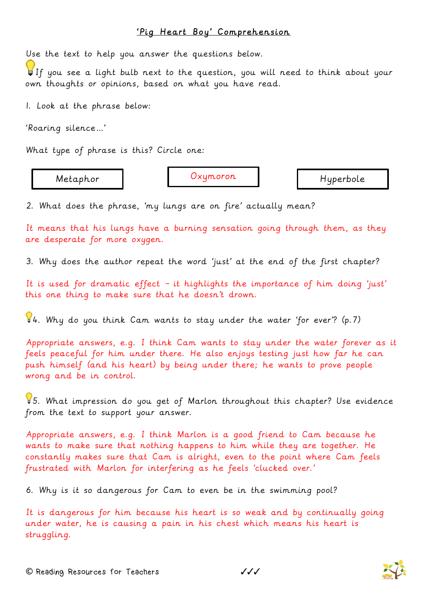## 'Pig Heart Boy' Comprehension

Use the text to help you answer the questions below.

 $\bigcup_{i=1}^n I$  you see a light bulb next to the question, you will need to think about your own thoughts or opinions, based on what you have read.

1. Look at the phrase below:

'Roaring silence…'

What type of phrase is this? Circle one:

Metaphor | Oxymoron | Hyperbole

2. What does the phrase, 'my lungs are on fire' actually mean?

It means that his lungs have a burning sensation going through them, as they are desperate for more oxygen.

3. Why does the author repeat the word 'just' at the end of the first chapter?

It is used for dramatic effect – it highlights the importance of him doing 'just' this one thing to make sure that he doesn't drown.

4. Why do you think Cam wants to stay under the water 'for ever'? (p.7)

Appropriate answers, e.g. I think Cam wants to stay under the water forever as it feels peaceful for him under there. He also enjoys testing just how far he can push himself (and his heart) by being under there; he wants to prove people wrong and be in control.

5. What impression do you get of Marlon throughout this chapter? Use evidence from the text to support your answer.

Appropriate answers, e.g. I think Marlon is a good friend to Cam because he wants to make sure that nothing happens to him while they are together. He constantly makes sure that Cam is alright, even to the point where Cam feels frustrated with Marlon for interfering as he feels 'clucked over.'

6. Why is it so dangerous for Cam to even be in the swimming pool?

It is dangerous for him because his heart is so weak and by continually going under water, he is causing a pain in his chest which means his heart is struggling.